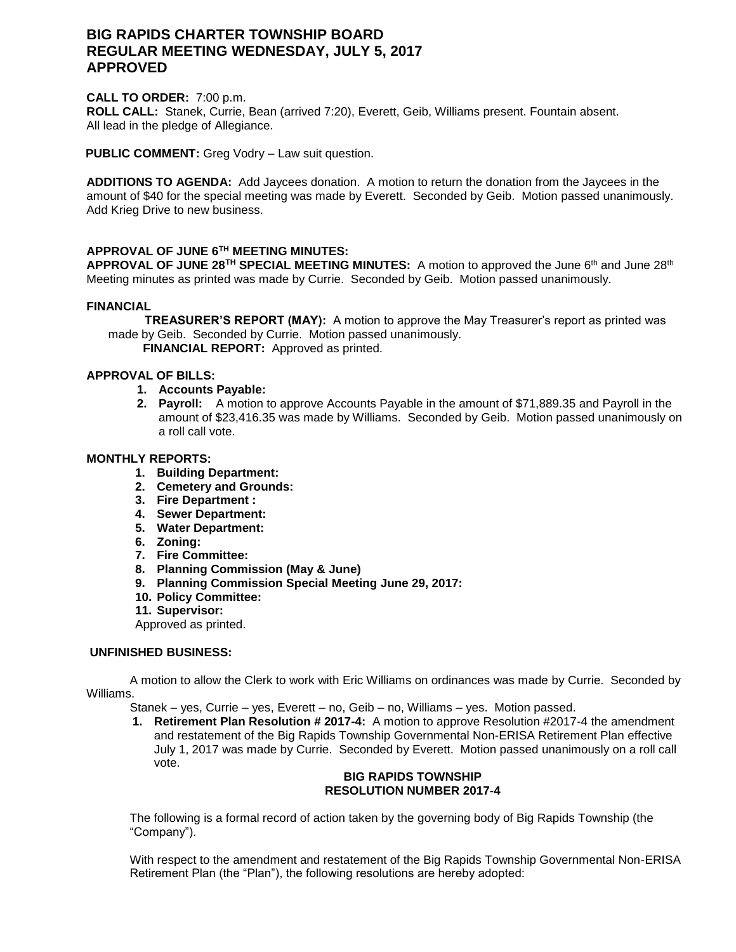# **BIG RAPIDS CHARTER TOWNSHIP BOARD REGULAR MEETING WEDNESDAY, JULY 5, 2017 APPROVED**

### **CALL TO ORDER:** 7:00 p.m.

**ROLL CALL:** Stanek, Currie, Bean (arrived 7:20), Everett, Geib, Williams present. Fountain absent. All lead in the pledge of Allegiance.

**PUBLIC COMMENT:** Greg Vodry – Law suit question.

**ADDITIONS TO AGENDA:** Add Jaycees donation. A motion to return the donation from the Jaycees in the amount of \$40 for the special meeting was made by Everett. Seconded by Geib. Motion passed unanimously. Add Krieg Drive to new business.

# **APPROVAL OF JUNE 6TH MEETING MINUTES:**

**APPROVAL OF JUNE 28TH SPECIAL MEETING MINUTES:** A motion to approved the June 6th and June 28th Meeting minutes as printed was made by Currie. Seconded by Geib. Motion passed unanimously.

### **FINANCIAL**

 **TREASURER'S REPORT (MAY):** A motion to approve the May Treasurer's report as printed was made by Geib. Seconded by Currie. Motion passed unanimously.

 **FINANCIAL REPORT:** Approved as printed.

# **APPROVAL OF BILLS:**

- **1. Accounts Payable:**
- **2. Payroll:** A motion to approve Accounts Payable in the amount of \$71,889.35 and Payroll in the amount of \$23,416.35 was made by Williams. Seconded by Geib. Motion passed unanimously on a roll call vote.

#### **MONTHLY REPORTS:**

- **1. Building Department:**
- **2. Cemetery and Grounds:**
- **3. Fire Department :**
- **4. Sewer Department:**
- **5. Water Department:**
- **6. Zoning:**
- **7. Fire Committee:**
- **8. Planning Commission (May & June)**
- **9. Planning Commission Special Meeting June 29, 2017:**
- **10. Policy Committee:**
- **11. Supervisor:**

Approved as printed.

### **UNFINISHED BUSINESS:**

A motion to allow the Clerk to work with Eric Williams on ordinances was made by Currie. Seconded by Williams.

Stanek – yes, Currie – yes, Everett – no, Geib – no, Williams – yes. Motion passed.

**1. Retirement Plan Resolution # 2017-4:** A motion to approve Resolution #2017-4 the amendment and restatement of the Big Rapids Township Governmental Non-ERISA Retirement Plan effective July 1, 2017 was made by Currie. Seconded by Everett. Motion passed unanimously on a roll call vote.

## **BIG RAPIDS TOWNSHIP RESOLUTION NUMBER 2017-4**

The following is a formal record of action taken by the governing body of Big Rapids Township (the "Company").

With respect to the amendment and restatement of the Big Rapids Township Governmental Non-ERISA Retirement Plan (the "Plan"), the following resolutions are hereby adopted: